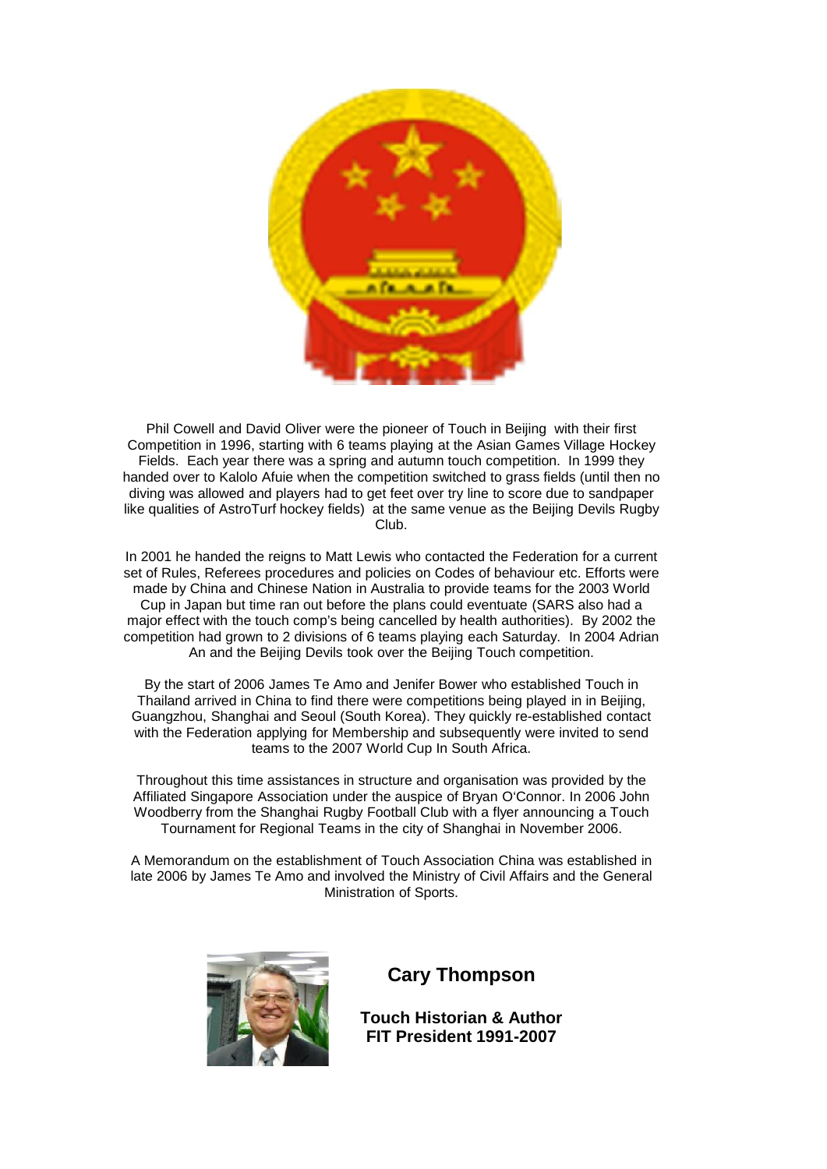

Phil Cowell and David Oliver were the pioneer of Touch in Beijing with their first Competition in 1996, starting with 6 teams playing at the Asian Games Village Hockey Fields. Each year there was a spring and autumn touch competition. In 1999 they handed over to Kalolo Afuie when the competition switched to grass fields (until then no diving was allowed and players had to get feet over try line to score due to sandpaper like qualities of AstroTurf hockey fields) at the same venue as the Beijing Devils Rugby Club.

In 2001 he handed the reigns to Matt Lewis who contacted the Federation for a current set of Rules, Referees procedures and policies on Codes of behaviour etc. Efforts were made by China and Chinese Nation in Australia to provide teams for the 2003 World Cup in Japan but time ran out before the plans could eventuate (SARS also had a major effect with the touch comp's being cancelled by health authorities). By 2002 the competition had grown to 2 divisions of 6 teams playing each Saturday. In 2004 Adrian An and the Beijing Devils took over the Beijing Touch competition.

By the start of 2006 James Te Amo and Jenifer Bower who established Touch in Thailand arrived in China to find there were competitions being played in in Beijing, Guangzhou, Shanghai and Seoul (South Korea). They quickly re-established contact with the Federation applying for Membership and subsequently were invited to send teams to the 2007 World Cup In South Africa.

Throughout this time assistances in structure and organisation was provided by the Affiliated Singapore Association under the auspice of Bryan O'Connor. In 2006 John Woodberry from the Shanghai Rugby Football Club with a flyer announcing a Touch Tournament for Regional Teams in the city of Shanghai in November 2006.

A Memorandum on the establishment of Touch Association China was established in late 2006 by James Te Amo and involved the Ministry of Civil Affairs and the General Ministration of Sports.



**Cary Thompson**

**Touch Historian & Author FIT President 1991-2007**